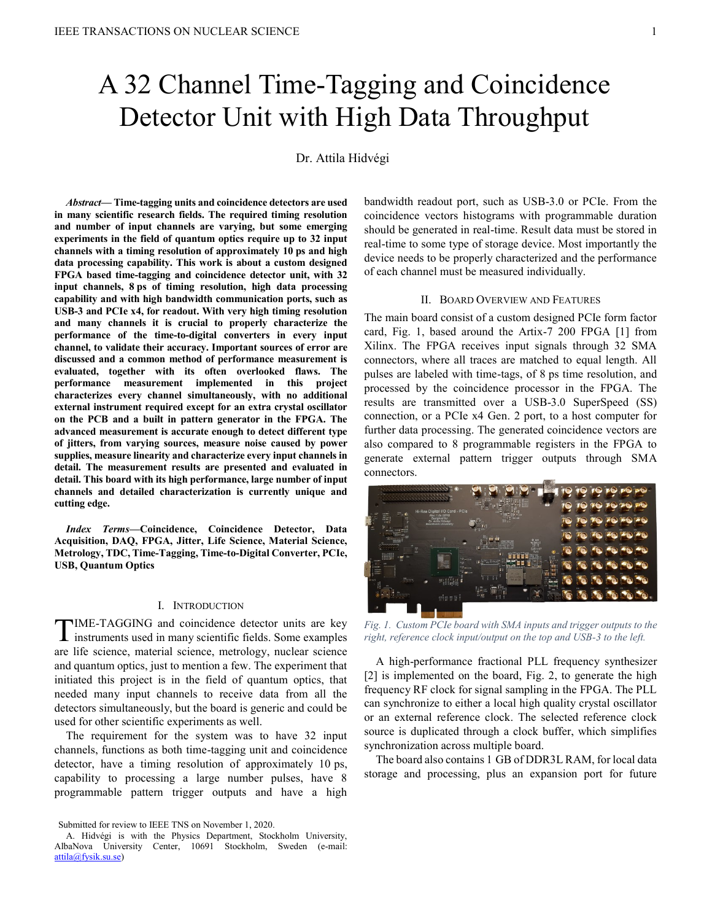# A 32 Channel Time-Tagging and Coincidence Detector Unit with High Data Throughput

Dr. Attila Hidvégi

*Abstract***— Time-tagging units and coincidence detectors are used in many scientific research fields. The required timing resolution and number of input channels are varying, but some emerging experiments in the field of quantum optics require up to 32 input channels with a timing resolution of approximately 10 ps and high data processing capability. This work is about a custom designed FPGA based time-tagging and coincidence detector unit, with 32 input channels, 8 ps of timing resolution, high data processing capability and with high bandwidth communication ports, such as USB-3 and PCIe x4, for readout. With very high timing resolution and many channels it is crucial to properly characterize the performance of the time-to-digital converters in every input channel, to validate their accuracy. Important sources of error are discussed and a common method of performance measurement is evaluated, together with its often overlooked flaws. The performance measurement implemented in this project characterizes every channel simultaneously, with no additional external instrument required except for an extra crystal oscillator on the PCB and a built in pattern generator in the FPGA. The advanced measurement is accurate enough to detect different type of jitters, from varying sources, measure noise caused by power supplies, measure linearity and characterize every input channels in detail. The measurement results are presented and evaluated in detail. This board with its high performance, large number of input channels and detailed characterization is currently unique and cutting edge.**

*Index Terms***—Coincidence, Coincidence Detector, Data Acquisition, DAQ, FPGA, Jitter, Life Science, Material Science, Metrology, TDC, Time-Tagging, Time-to-Digital Converter, PCIe, USB, Quantum Optics**

#### I. INTRODUCTION

TIME-TAGGING and coincidence detector units are key instruments used in many scientific fields. Some examples instruments used in many scientific fields. Some examples are life science, material science, metrology, nuclear science and quantum optics, just to mention a few. The experiment that initiated this project is in the field of quantum optics, that needed many input channels to receive data from all the detectors simultaneously, but the board is generic and could be used for other scientific experiments as well.

The requirement for the system was to have 32 input channels, functions as both time-tagging unit and coincidence detector, have a timing resolution of approximately 10 ps, capability to processing a large number pulses, have 8 programmable pattern trigger outputs and have a high

Submitted for review to IEEE TNS on November 1, 2020.

bandwidth readout port, such as USB-3.0 or PCIe. From the coincidence vectors histograms with programmable duration should be generated in real-time. Result data must be stored in real-time to some type of storage device. Most importantly the device needs to be properly characterized and the performance of each channel must be measured individually.

#### II. BOARD OVERVIEW AND FEATURES

The main board consist of a custom designed PCIe form factor card, [Fig. 1,](#page-0-0) based around the Artix-7 200 FPGA [\[1\] f](#page-4-0)rom Xilinx. The FPGA receives input signals through 32 SMA connectors, where all traces are matched to equal length. All pulses are labeled with time-tags, of 8 ps time resolution, and processed by the coincidence processor in the FPGA. The results are transmitted over a USB-3.0 SuperSpeed (SS) connection, or a PCIe x4 Gen. 2 port, to a host computer for further data processing. The generated coincidence vectors are also compared to 8 programmable registers in the FPGA to generate external pattern trigger outputs through SMA connectors.

<span id="page-0-0"></span>*Fig. 1. Custom PCIe board with SMA inputs and trigger outputs to the right, reference clock input/output on the top and USB-3 to the left.*

A high-performance fractional PLL frequency synthesizer [\[2\] i](#page-4-1)s implemented on the board, [Fig. 2,](#page-1-0) to generate the high frequency RF clock for signal sampling in the FPGA. The PLL can synchronize to either a local high quality crystal oscillator or an external reference clock. The selected reference clock source is duplicated through a clock buffer, which simplifies synchronization across multiple board.

The board also contains 1 GB of DDR3L RAM, for local data storage and processing, plus an expansion port for future

A. Hidvégi is with the Physics Department, Stockholm University, AlbaNova University Center, 10691 Stockholm, Sweden (e-mail: [attila@fysik.su.se\)](mailto:attila@fysik.su.se)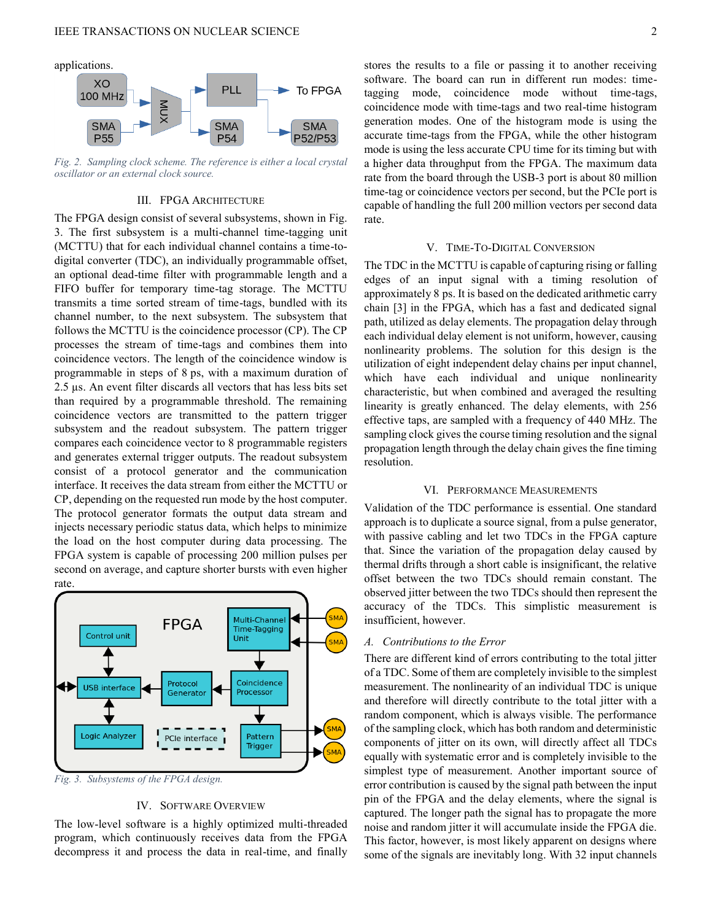applications.



<span id="page-1-0"></span>*Fig. 2. Sampling clock scheme. The reference is either a local crystal oscillator or an external clock source.*

#### III. FPGA ARCHITECTURE

The FPGA design consist of several subsystems, shown in [Fig.](#page-1-1)  [3.](#page-1-1) The first subsystem is a multi-channel time-tagging unit (MCTTU) that for each individual channel contains a time-todigital converter (TDC), an individually programmable offset, an optional dead-time filter with programmable length and a FIFO buffer for temporary time-tag storage. The MCTTU transmits a time sorted stream of time-tags, bundled with its channel number, to the next subsystem. The subsystem that follows the MCTTU is the coincidence processor (CP). The CP processes the stream of time-tags and combines them into coincidence vectors. The length of the coincidence window is programmable in steps of 8 ps, with a maximum duration of 2.5 µs. An event filter discards all vectors that has less bits set than required by a programmable threshold. The remaining coincidence vectors are transmitted to the pattern trigger subsystem and the readout subsystem. The pattern trigger compares each coincidence vector to 8 programmable registers and generates external trigger outputs. The readout subsystem consist of a protocol generator and the communication interface. It receives the data stream from either the MCTTU or CP, depending on the requested run mode by the host computer. The protocol generator formats the output data stream and injects necessary periodic status data, which helps to minimize the load on the host computer during data processing. The FPGA system is capable of processing 200 million pulses per second on average, and capture shorter bursts with even higher rate.



<span id="page-1-1"></span>*Fig. 3. Subsystems of the FPGA design.*

# IV. SOFTWARE OVERVIEW

The low-level software is a highly optimized multi-threaded program, which continuously receives data from the FPGA decompress it and process the data in real-time, and finally stores the results to a file or passing it to another receiving software. The board can run in different run modes: timetagging mode, coincidence mode without time-tags, coincidence mode with time-tags and two real-time histogram generation modes. One of the histogram mode is using the accurate time-tags from the FPGA, while the other histogram mode is using the less accurate CPU time for its timing but with a higher data throughput from the FPGA. The maximum data rate from the board through the USB-3 port is about 80 million time-tag or coincidence vectors per second, but the PCIe port is capable of handling the full 200 million vectors per second data rate.

#### V. TIME-TO-DIGITAL CONVERSION

The TDC in the MCTTU is capable of capturing rising or falling edges of an input signal with a timing resolution of approximately 8 ps. It is based on the dedicated arithmetic carry chain [\[3\] in](#page-4-2) the FPGA, which has a fast and dedicated signal path, utilized as delay elements. The propagation delay through each individual delay element is not uniform, however, causing nonlinearity problems. The solution for this design is the utilization of eight independent delay chains per input channel, which have each individual and unique nonlinearity characteristic, but when combined and averaged the resulting linearity is greatly enhanced. The delay elements, with 256 effective taps, are sampled with a frequency of 440 MHz. The sampling clock gives the course timing resolution and the signal propagation length through the delay chain gives the fine timing resolution.

#### VI. PERFORMANCE MEASUREMENTS

Validation of the TDC performance is essential. One standard approach is to duplicate a source signal, from a pulse generator, with passive cabling and let two TDCs in the FPGA capture that. Since the variation of the propagation delay caused by thermal drifts through a short cable is insignificant, the relative offset between the two TDCs should remain constant. The observed jitter between the two TDCs should then represent the accuracy of the TDCs. This simplistic measurement is insufficient, however.

#### *A. Contributions to the Error*

There are different kind of errors contributing to the total jitter of a TDC. Some of them are completely invisible to the simplest measurement. The nonlinearity of an individual TDC is unique and therefore will directly contribute to the total jitter with a random component, which is always visible. The performance of the sampling clock, which has both random and deterministic components of jitter on its own, will directly affect all TDCs equally with systematic error and is completely invisible to the simplest type of measurement. Another important source of error contribution is caused by the signal path between the input pin of the FPGA and the delay elements, where the signal is captured. The longer path the signal has to propagate the more noise and random jitter it will accumulate inside the FPGA die. This factor, however, is most likely apparent on designs where some of the signals are inevitably long. With 32 input channels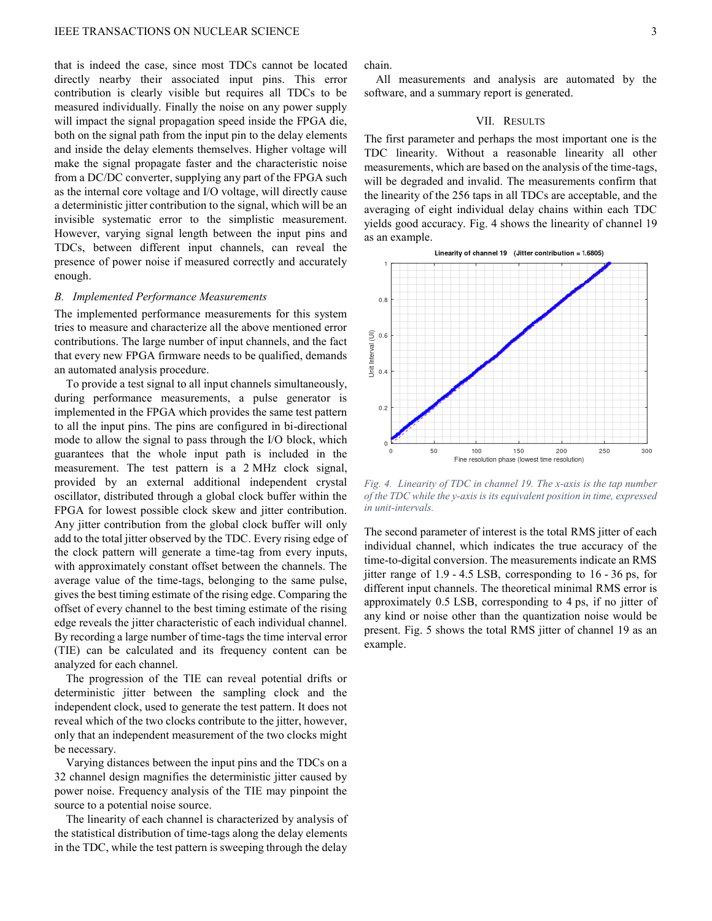that is indeed the case, since most TDCs cannot be located directly nearby their associated input pins. This error contribution is clearly visible but requires all TDCs to be measured individually. Finally the noise on any power supply will impact the signal propagation speed inside the FPGA die, both on the signal path from the input pin to the delay elements and inside the delay elements themselves. Higher voltage will make the signal propagate faster and the characteristic noise from a DC/DC converter, supplying any part of the FPGA such as the internal core voltage and I/O voltage, will directly cause a deterministic jitter contribution to the signal, which will be an invisible systematic error to the simplistic measurement. However, varying signal length between the input pins and TDCs, between different input channels, can reveal the presence of power noise if measured correctly and accurately enough.

#### *B. Implemented Performance Measurements*

The implemented performance measurements for this system tries to measure and characterize all the above mentioned error contributions. The large number of input channels, and the fact that every new FPGA firmware needs to be qualified, demands an automated analysis procedure.

To provide a test signal to all input channels simultaneously, during performance measurements, a pulse generator is implemented in the FPGA which provides the same test pattern to all the input pins. The pins are configured in bi-directional mode to allow the signal to pass through the I/O block, which guarantees that the whole input path is included in the measurement. The test pattern is a 2 MHz clock signal, provided by an external additional independent crystal oscillator, distributed through a global clock buffer within the FPGA for lowest possible clock skew and jitter contribution. Any jitter contribution from the global clock buffer will only add to the total jitter observed by the TDC. Every rising edge of the clock pattern will generate a time-tag from every inputs, with approximately constant offset between the channels. The average value of the time-tags, belonging to the same pulse, gives the best timing estimate of the rising edge. Comparing the offset of every channel to the best timing estimate of the rising edge reveals the jitter characteristic of each individual channel. By recording a large number of time-tags the time interval error (TIE) can be calculated and its frequency content can be analyzed for each channel.

The progression of the TIE can reveal potential drifts or deterministic jitter between the sampling clock and the independent clock, used to generate the test pattern. It does not reveal which of the two clocks contribute to the jitter, however, only that an independent measurement of the two clocks might be necessary.

Varying distances between the input pins and the TDCs on a 32 channel design magnifies the deterministic jitter caused by power noise. Frequency analysis of the TIE may pinpoint the source to a potential noise source.

The linearity of each channel is characterized by analysis of the statistical distribution of time-tags along the delay elements in the TDC, while the test pattern is sweeping through the delay

chain.

All measurements and analysis are automated by the software, and a summary report is generated.

# VII. RESULTS

The first parameter and perhaps the most important one is the TDC linearity. Without a reasonable linearity all other measurements, which are based on the analysis of the time-tags, will be degraded and invalid. The measurements confirm that the linearity of the 256 taps in all TDCs are acceptable, and the averaging of eight individual delay chains within each TDC yields good accuracy. [Fig. 4](#page-2-0) shows the linearity of channel 19 as an example.



<span id="page-2-0"></span>*Fig. 4. Linearity of TDC in channel 19. The x-axis is the tap number of the TDC while the y-axis is its equivalent position in time, expressed in unit-intervals.*

The second parameter of interest is the total RMS jitter of each individual channel, which indicates the true accuracy of the time-to-digital conversion. The measurements indicate an RMS jitter range of 1.9 - 4.5 LSB, corresponding to 16 - 36 ps, for different input channels. The theoretical minimal RMS error is approximately 0.5 LSB, corresponding to 4 ps, if no jitter of any kind or noise other than the quantization noise would be present. [Fig. 5](#page-3-0) shows the total RMS jitter of channel 19 as an example.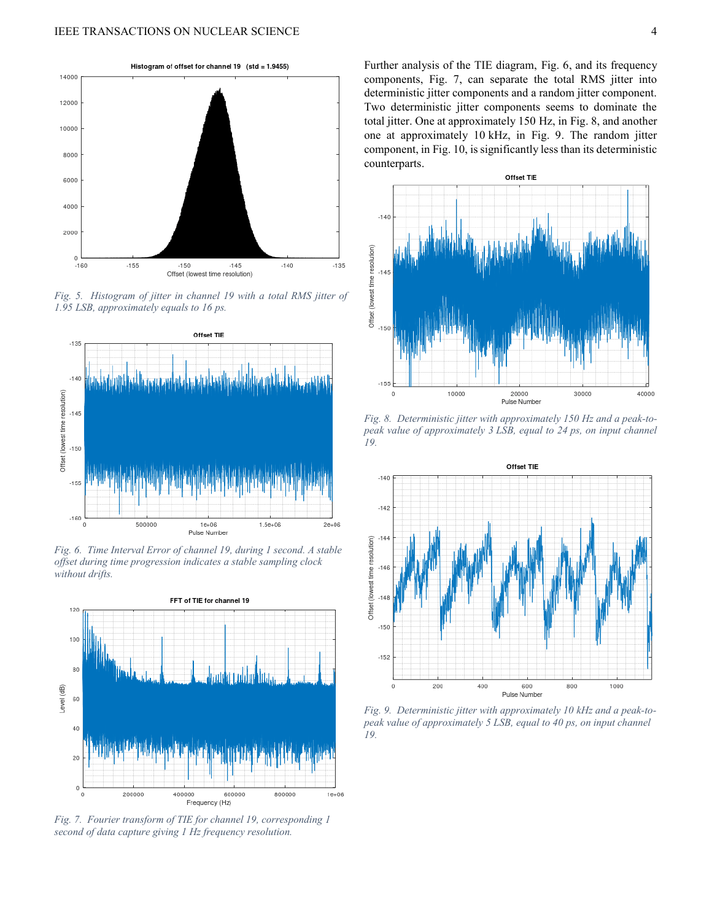

<span id="page-3-0"></span>*Fig. 5. Histogram of jitter in channel 19 with a total RMS jitter of 1.95 LSB, approximately equals to 16 ps.*



<span id="page-3-1"></span>*Fig. 6. Time Interval Error of channel 19, during 1 second. A stable offset during time progression indicates a stable sampling clock without drifts.*



<span id="page-3-2"></span>*Fig. 7. Fourier transform of TIE for channel 19, corresponding 1 second of data capture giving 1 Hz frequency resolution.*

Further analysis of the TIE diagram, [Fig. 6,](#page-3-1) and its frequency components, [Fig. 7,](#page-3-2) can separate the total RMS jitter into deterministic jitter components and a random jitter component. Two deterministic jitter components seems to dominate the total jitter. One at approximately 150 Hz, in [Fig. 8,](#page-3-3) and another one at approximately 10 kHz, in [Fig. 9.](#page-3-4) The random jitter component, in [Fig. 10,](#page-4-3) is significantly less than its deterministic counterparts.



<span id="page-3-3"></span>*Fig. 8. Deterministic jitter with approximately 150 Hz and a peak-topeak value of approximately 3 LSB, equal to 24 ps, on input channel 19.*



<span id="page-3-4"></span>*Fig. 9. Deterministic jitter with approximately 10 kHz and a peak-topeak value of approximately 5 LSB, equal to 40 ps, on input channel 19.*